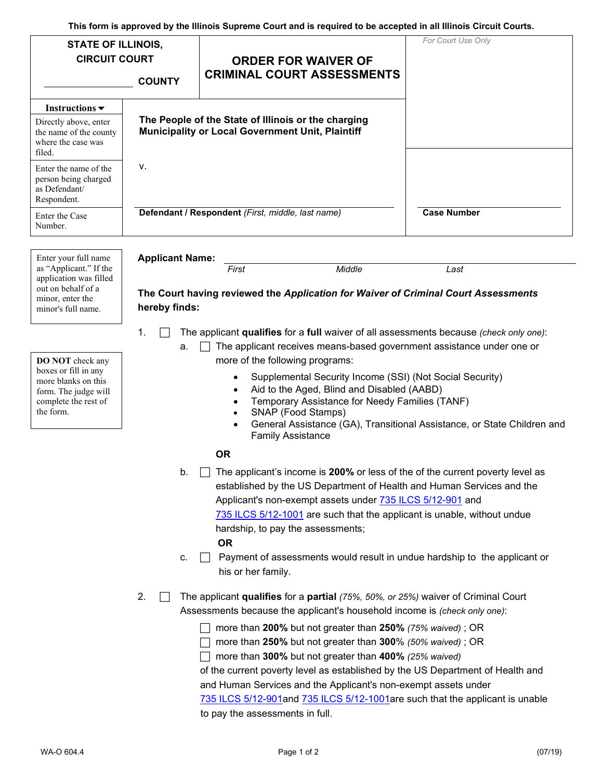| <b>STATE OF ILLINOIS,</b><br><b>CIRCUIT COURT</b>                                                                                   | <b>COUNTY</b>              | <b>ORDER FOR WAIVER OF</b><br><b>CRIMINAL COURT ASSESSMENTS</b>                                                                                                                                                                                                                                                                                                                                                                                                                                                                                                                                                                                                                                                                                                                                                                                                                                                                                                                                                                                                                                                                                                                                                                                                                                                                                                                                                                                                                                                                                                     | For Court Use Only                                                      |
|-------------------------------------------------------------------------------------------------------------------------------------|----------------------------|---------------------------------------------------------------------------------------------------------------------------------------------------------------------------------------------------------------------------------------------------------------------------------------------------------------------------------------------------------------------------------------------------------------------------------------------------------------------------------------------------------------------------------------------------------------------------------------------------------------------------------------------------------------------------------------------------------------------------------------------------------------------------------------------------------------------------------------------------------------------------------------------------------------------------------------------------------------------------------------------------------------------------------------------------------------------------------------------------------------------------------------------------------------------------------------------------------------------------------------------------------------------------------------------------------------------------------------------------------------------------------------------------------------------------------------------------------------------------------------------------------------------------------------------------------------------|-------------------------------------------------------------------------|
|                                                                                                                                     |                            |                                                                                                                                                                                                                                                                                                                                                                                                                                                                                                                                                                                                                                                                                                                                                                                                                                                                                                                                                                                                                                                                                                                                                                                                                                                                                                                                                                                                                                                                                                                                                                     |                                                                         |
| Instructions $\blacktriangledown$<br>Directly above, enter<br>the name of the county<br>where the case was<br>filed.                |                            | The People of the State of Illinois or the charging<br><b>Municipality or Local Government Unit, Plaintiff</b>                                                                                                                                                                                                                                                                                                                                                                                                                                                                                                                                                                                                                                                                                                                                                                                                                                                                                                                                                                                                                                                                                                                                                                                                                                                                                                                                                                                                                                                      |                                                                         |
| Enter the name of the<br>person being charged<br>as Defendant/<br>Respondent.                                                       | ۷.                         |                                                                                                                                                                                                                                                                                                                                                                                                                                                                                                                                                                                                                                                                                                                                                                                                                                                                                                                                                                                                                                                                                                                                                                                                                                                                                                                                                                                                                                                                                                                                                                     |                                                                         |
| Enter the Case<br>Number.                                                                                                           |                            | Defendant / Respondent (First, middle, last name)                                                                                                                                                                                                                                                                                                                                                                                                                                                                                                                                                                                                                                                                                                                                                                                                                                                                                                                                                                                                                                                                                                                                                                                                                                                                                                                                                                                                                                                                                                                   | <b>Case Number</b>                                                      |
| Enter your full name                                                                                                                | <b>Applicant Name:</b>     |                                                                                                                                                                                                                                                                                                                                                                                                                                                                                                                                                                                                                                                                                                                                                                                                                                                                                                                                                                                                                                                                                                                                                                                                                                                                                                                                                                                                                                                                                                                                                                     |                                                                         |
| as "Applicant." If the<br>application was filled<br>out on behalf of a<br>minor, enter the<br>minor's full name.                    | hereby finds:              | Middle<br>First<br>The Court having reviewed the Application for Waiver of Criminal Court Assessments                                                                                                                                                                                                                                                                                                                                                                                                                                                                                                                                                                                                                                                                                                                                                                                                                                                                                                                                                                                                                                                                                                                                                                                                                                                                                                                                                                                                                                                               | Last                                                                    |
| <b>DO NOT</b> check any<br>boxes or fill in any<br>more blanks on this<br>form. The judge will<br>complete the rest of<br>the form. | 1.<br>а.<br>b.<br>c.<br>2. | The applicant qualifies for a full waiver of all assessments because (check only one):<br>The applicant receives means-based government assistance under one or<br>more of the following programs:<br>Supplemental Security Income (SSI) (Not Social Security)<br>$\bullet$<br>Aid to the Aged, Blind and Disabled (AABD)<br>Temporary Assistance for Needy Families (TANF)<br>$\bullet$<br>SNAP (Food Stamps)<br>$\bullet$<br><b>Family Assistance</b><br><b>OR</b><br>The applicant's income is 200% or less of the of the current poverty level as<br>established by the US Department of Health and Human Services and the<br>Applicant's non-exempt assets under 735 ILCS 5/12-901 and<br>735 ILCS 5/12-1001 are such that the applicant is unable, without undue<br>hardship, to pay the assessments;<br><b>OR</b><br>Payment of assessments would result in undue hardship to the applicant or<br>$\Box$<br>his or her family.<br>The applicant qualifies for a partial (75%, 50%, or 25%) waiver of Criminal Court<br>Assessments because the applicant's household income is (check only one):<br>more than 200% but not greater than 250% (75% waived); OR<br>more than 250% but not greater than 300% (50% waived); OR<br>more than 300% but not greater than 400% (25% waived)<br>of the current poverty level as established by the US Department of Health and<br>and Human Services and the Applicant's non-exempt assets under<br>735 ILCS 5/12-901 and 735 ILCS 5/12-1001 are such that the applicant is unable<br>to pay the assessments in full. | General Assistance (GA), Transitional Assistance, or State Children and |